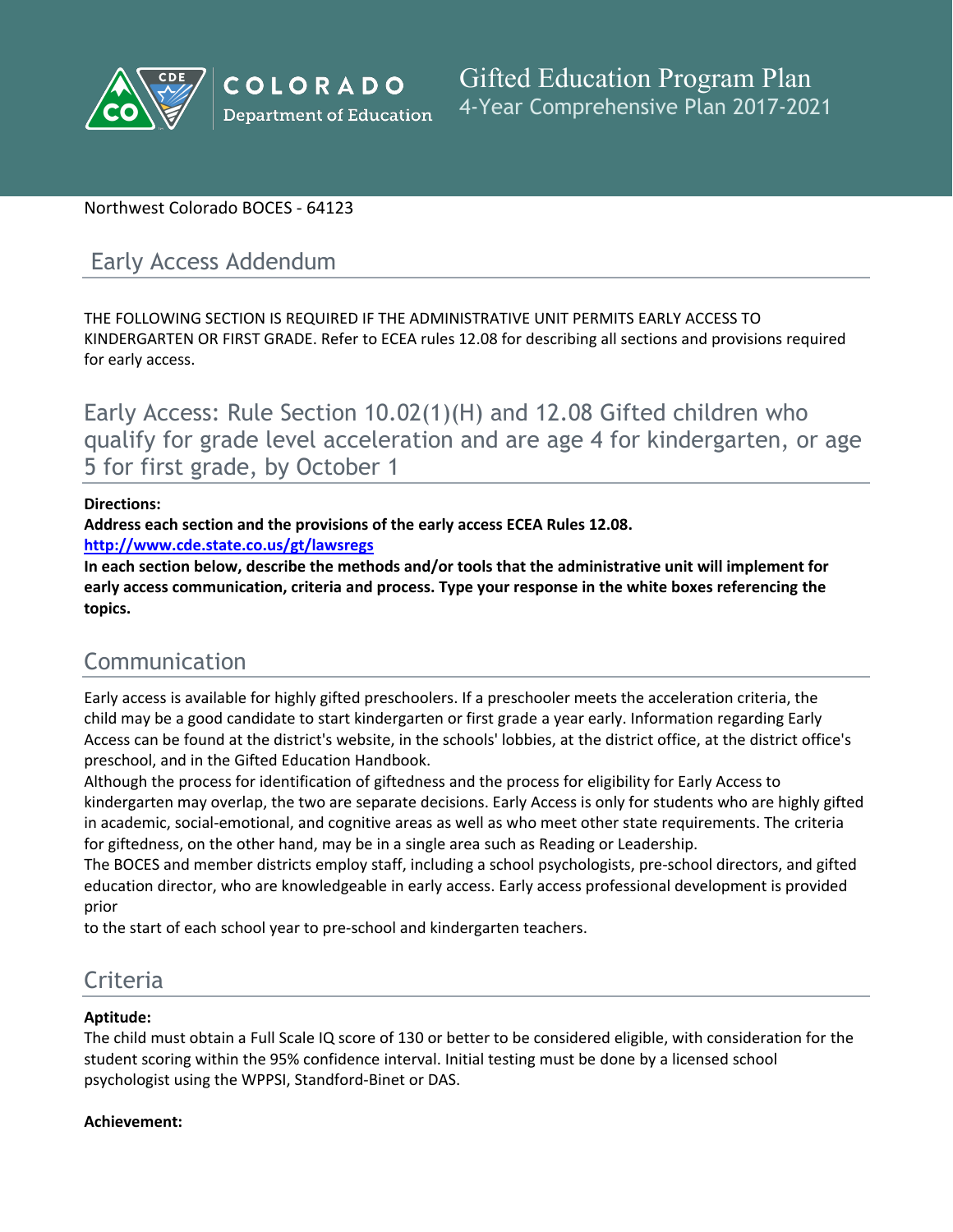

# Northwest Colorado BOCES - 64123

# Early Access Addendum

THE FOLLOWING SECTION IS REQUIRED IF THE ADMINISTRATIVE UNIT PERMITS EARLY ACCESS TO KINDERGARTEN OR FIRST GRADE. Refer to ECEA rules 12.08 for describing all sections and provisions required for early access.

Early Access: Rule Section 10.02(1)(H) and 12.08 Gifted children who qualify for grade level acceleration and are age 4 for kindergarten, or age 5 for first grade, by October 1

### **Directions:**

**Address each section and the provisions of the early access ECEA Rules 12.08.**

**<http://www.cde.state.co.us/gt/lawsregs>**

**In each section below, describe the methods and/or tools that the administrative unit will implement for early access communication, criteria and process. Type your response in the white boxes referencing the topics.**

# Communication

Early access is available for highly gifted preschoolers. If a preschooler meets the acceleration criteria, the child may be a good candidate to start kindergarten or first grade a year early. Information regarding Early Access can be found at the district's website, in the schools' lobbies, at the district office, at the district office's preschool, and in the Gifted Education Handbook.

Although the process for identification of giftedness and the process for eligibility for Early Access to kindergarten may overlap, the two are separate decisions. Early Access is only for students who are highly gifted in academic, social-emotional, and cognitive areas as well as who meet other state requirements. The criteria for giftedness, on the other hand, may be in a single area such as Reading or Leadership.

The BOCES and member districts employ staff, including a school psychologists, pre-school directors, and gifted education director, who are knowledgeable in early access. Early access professional development is provided prior

to the start of each school year to pre-school and kindergarten teachers.

# Criteria

# **Aptitude:**

The child must obtain a Full Scale IQ score of 130 or better to be considered eligible, with consideration for the student scoring within the 95% confidence interval. Initial testing must be done by a licensed school psychologist using the WPPSI, Standford-Binet or DAS.

# **Achievement:**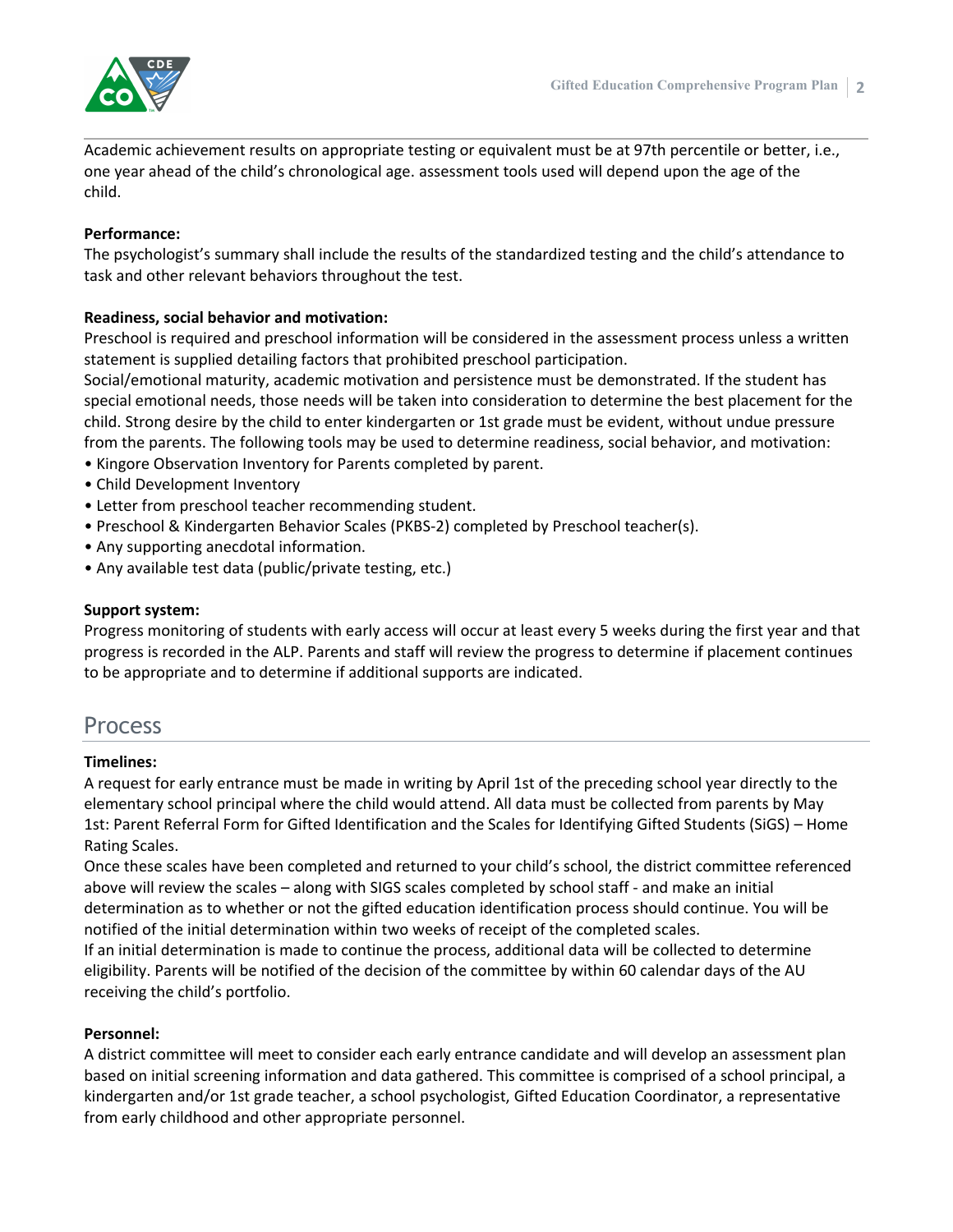

Academic achievement results on appropriate testing or equivalent must be at 97th percentile or better, i.e., one year ahead of the child's chronological age. assessment tools used will depend upon the age of the child.

#### **Performance:**

The psychologist's summary shall include the results of the standardized testing and the child's attendance to task and other relevant behaviors throughout the test.

# **Readiness, social behavior and motivation:**

Preschool is required and preschool information will be considered in the assessment process unless a written statement is supplied detailing factors that prohibited preschool participation.

Social/emotional maturity, academic motivation and persistence must be demonstrated. If the student has special emotional needs, those needs will be taken into consideration to determine the best placement for the child. Strong desire by the child to enter kindergarten or 1st grade must be evident, without undue pressure from the parents. The following tools may be used to determine readiness, social behavior, and motivation:

- Kingore Observation Inventory for Parents completed by parent.
- Child Development Inventory
- Letter from preschool teacher recommending student.
- Preschool & Kindergarten Behavior Scales (PKBS-2) completed by Preschool teacher(s).
- Any supporting anecdotal information.
- Any available test data (public/private testing, etc.)

#### **Support system:**

Progress monitoring of students with early access will occur at least every 5 weeks during the first year and that progress is recorded in the ALP. Parents and staff will review the progress to determine if placement continues to be appropriate and to determine if additional supports are indicated.

# Process

#### **Timelines:**

A request for early entrance must be made in writing by April 1st of the preceding school year directly to the elementary school principal where the child would attend. All data must be collected from parents by May 1st: Parent Referral Form for Gifted Identification and the Scales for Identifying Gifted Students (SiGS) – Home Rating Scales.

Once these scales have been completed and returned to your child's school, the district committee referenced above will review the scales – along with SIGS scales completed by school staff - and make an initial determination as to whether or not the gifted education identification process should continue. You will be notified of the initial determination within two weeks of receipt of the completed scales.

If an initial determination is made to continue the process, additional data will be collected to determine eligibility. Parents will be notified of the decision of the committee by within 60 calendar days of the AU receiving the child's portfolio.

#### **Personnel:**

A district committee will meet to consider each early entrance candidate and will develop an assessment plan based on initial screening information and data gathered. This committee is comprised of a school principal, a kindergarten and/or 1st grade teacher, a school psychologist, Gifted Education Coordinator, a representative from early childhood and other appropriate personnel.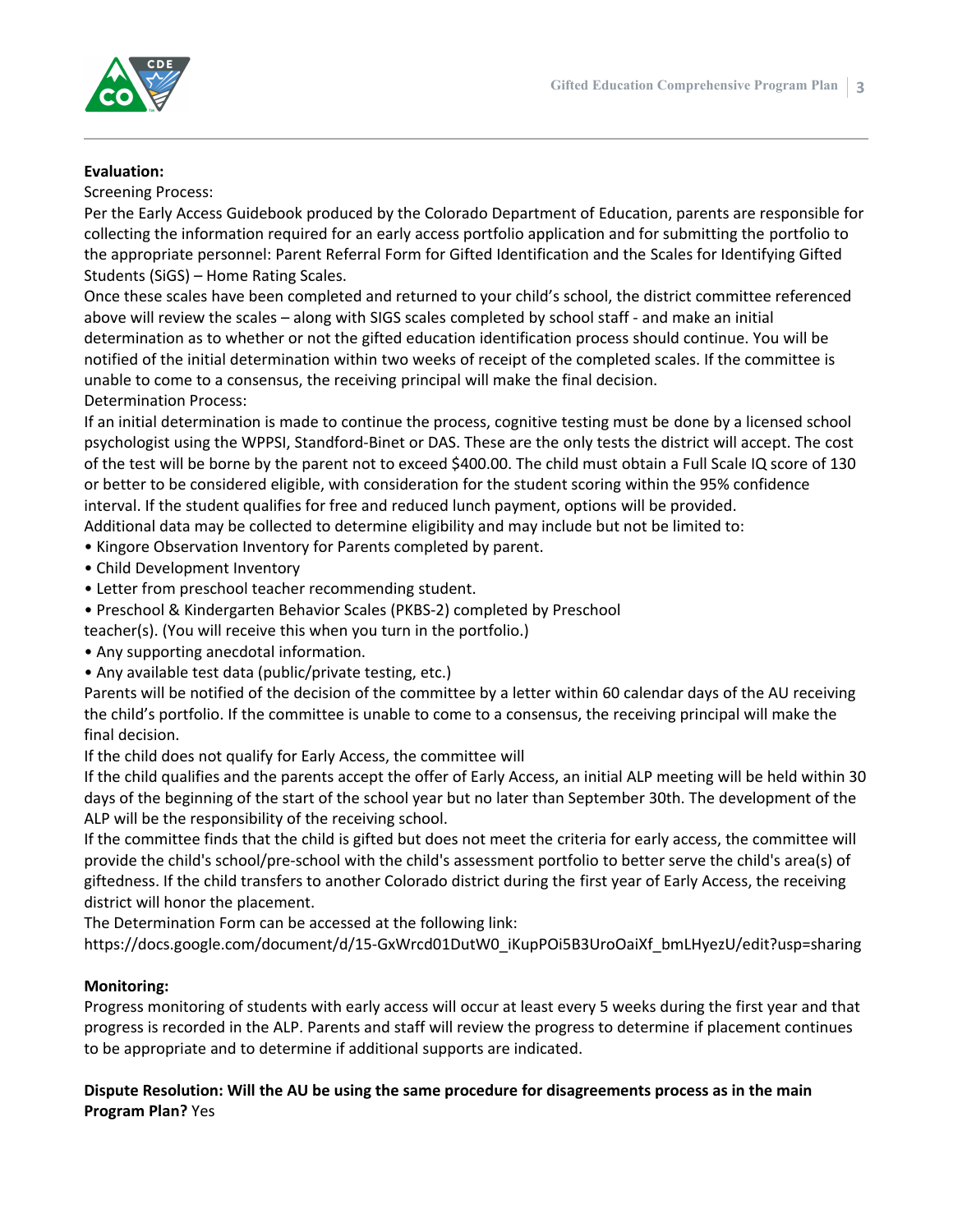

#### **Evaluation:**

Screening Process:

Per the Early Access Guidebook produced by the Colorado Department of Education, parents are responsible for collecting the information required for an early access portfolio application and for submitting the portfolio to the appropriate personnel: Parent Referral Form for Gifted Identification and the Scales for Identifying Gifted Students (SiGS) – Home Rating Scales.

Once these scales have been completed and returned to your child's school, the district committee referenced above will review the scales – along with SIGS scales completed by school staff - and make an initial determination as to whether or not the gifted education identification process should continue. You will be notified of the initial determination within two weeks of receipt of the completed scales. If the committee is unable to come to a consensus, the receiving principal will make the final decision. Determination Process:

If an initial determination is made to continue the process, cognitive testing must be done by a licensed school psychologist using the WPPSI, Standford-Binet or DAS. These are the only tests the district will accept. The cost of the test will be borne by the parent not to exceed \$400.00. The child must obtain a Full Scale IQ score of 130 or better to be considered eligible, with consideration for the student scoring within the 95% confidence interval. If the student qualifies for free and reduced lunch payment, options will be provided. Additional data may be collected to determine eligibility and may include but not be limited to:

- Kingore Observation Inventory for Parents completed by parent.
- Child Development Inventory
- Letter from preschool teacher recommending student.
- Preschool & Kindergarten Behavior Scales (PKBS-2) completed by Preschool

teacher(s). (You will receive this when you turn in the portfolio.)

- Any supporting anecdotal information.
- Any available test data (public/private testing, etc.)

Parents will be notified of the decision of the committee by a letter within 60 calendar days of the AU receiving the child's portfolio. If the committee is unable to come to a consensus, the receiving principal will make the final decision.

If the child does not qualify for Early Access, the committee will

If the child qualifies and the parents accept the offer of Early Access, an initial ALP meeting will be held within 30 days of the beginning of the start of the school year but no later than September 30th. The development of the ALP will be the responsibility of the receiving school.

If the committee finds that the child is gifted but does not meet the criteria for early access, the committee will provide the child's school/pre-school with the child's assessment portfolio to better serve the child's area(s) of giftedness. If the child transfers to another Colorado district during the first year of Early Access, the receiving district will honor the placement.

The Determination Form can be accessed at the following link:

https://docs.google.com/document/d/15-GxWrcd01DutW0\_iKupPOi5B3UroOaiXf\_bmLHyezU/edit?usp=sharing

#### **Monitoring:**

Progress monitoring of students with early access will occur at least every 5 weeks during the first year and that progress is recorded in the ALP. Parents and staff will review the progress to determine if placement continues to be appropriate and to determine if additional supports are indicated.

### **Dispute Resolution: Will the AU be using the same procedure for disagreements process as in the main Program Plan?** Yes